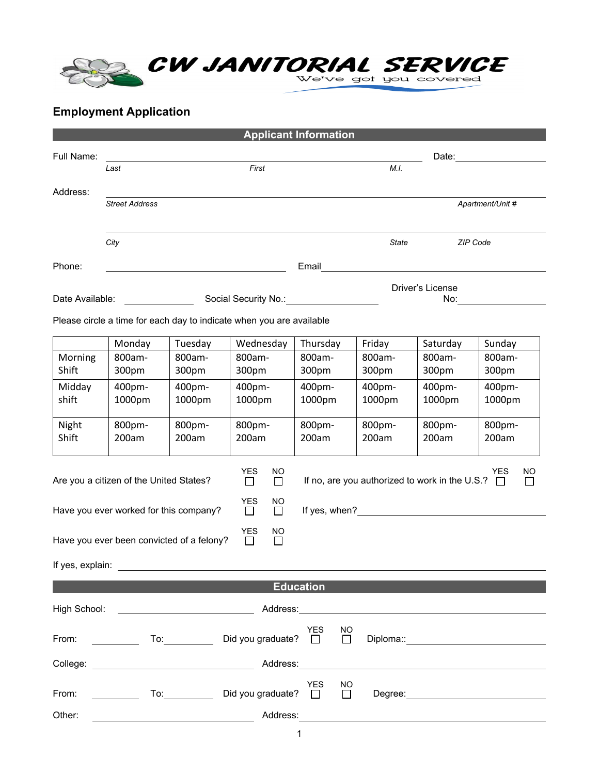

## **Employment Application**

|                  |                                                 |         |                                                                      | <b>Applicant Information</b> |                                                                                                                                                                                                                               |                  |                     |  |
|------------------|-------------------------------------------------|---------|----------------------------------------------------------------------|------------------------------|-------------------------------------------------------------------------------------------------------------------------------------------------------------------------------------------------------------------------------|------------------|---------------------|--|
| Full Name:       |                                                 |         |                                                                      |                              | Date: and the contract of the contract of the contract of the contract of the contract of the contract of the contract of the contract of the contract of the contract of the contract of the contract of the contract of the |                  |                     |  |
|                  | Last                                            |         | First                                                                |                              | M.I.                                                                                                                                                                                                                          |                  |                     |  |
| Address:         |                                                 |         |                                                                      |                              |                                                                                                                                                                                                                               |                  |                     |  |
|                  | <b>Street Address</b>                           |         |                                                                      |                              |                                                                                                                                                                                                                               |                  | Apartment/Unit #    |  |
|                  | City                                            |         |                                                                      |                              | State                                                                                                                                                                                                                         |                  | ZIP Code            |  |
| Phone:           |                                                 |         |                                                                      | Email                        |                                                                                                                                                                                                                               |                  |                     |  |
| Date Available:  | Social Security No.: Social Security No.:       |         |                                                                      |                              |                                                                                                                                                                                                                               | Driver's License |                     |  |
|                  |                                                 |         | Please circle a time for each day to indicate when you are available |                              |                                                                                                                                                                                                                               |                  |                     |  |
|                  | Monday                                          | Tuesday | Wednesday                                                            | Thursday                     | Friday                                                                                                                                                                                                                        | Saturday         | Sunday              |  |
| Morning          | 800am-                                          | 800am-  | 800am-                                                               | 800am-                       | 800am-                                                                                                                                                                                                                        | 800am-           | 800am-              |  |
| Shift            | 300pm                                           | 300pm   | 300pm                                                                | 300pm                        | 300pm                                                                                                                                                                                                                         | 300pm            | 300pm               |  |
|                  |                                                 |         |                                                                      |                              |                                                                                                                                                                                                                               |                  |                     |  |
| Midday           | 400pm-                                          | 400pm-  | 400pm-                                                               | 400pm-                       | 400pm-                                                                                                                                                                                                                        | 400pm-           | 400pm-              |  |
| shift            | 1000pm                                          | 1000pm  | 1000pm                                                               | 1000pm                       | 1000pm                                                                                                                                                                                                                        | 1000pm           | 1000pm              |  |
| Night            | 800pm-                                          | 800pm-  | 800pm-                                                               | 800pm-                       | 800pm-                                                                                                                                                                                                                        | 800pm-           | 800pm-              |  |
| Shift            | 200am                                           | 200am   | 200am                                                                | 200am                        | 200am                                                                                                                                                                                                                         | 200am            | 200am               |  |
|                  |                                                 |         |                                                                      |                              |                                                                                                                                                                                                                               |                  |                     |  |
|                  | Are you a citizen of the United States?         |         | $\overline{\Box}$<br><b>NO</b><br>$\Box$                             |                              | If no, are you authorized to work in the U.S.? $\Box$                                                                                                                                                                         |                  | YES<br>NO<br>$\Box$ |  |
|                  |                                                 |         | YES<br><b>NO</b>                                                     |                              |                                                                                                                                                                                                                               |                  |                     |  |
|                  | Have you ever worked for this company?          |         | $\Box$<br>$\Box$                                                     |                              |                                                                                                                                                                                                                               |                  |                     |  |
|                  | Have you ever been convicted of a felony?       |         | YES<br><b>NO</b><br>$\Box$<br>$\Box$                                 |                              |                                                                                                                                                                                                                               |                  |                     |  |
| If yes, explain: |                                                 |         |                                                                      |                              |                                                                                                                                                                                                                               |                  |                     |  |
|                  |                                                 |         |                                                                      | <b>Education</b>             |                                                                                                                                                                                                                               |                  |                     |  |
|                  | High School: <u>___________________________</u> |         |                                                                      |                              |                                                                                                                                                                                                                               |                  |                     |  |
|                  |                                                 |         | From: ______________ To:_________________ Did you graduate? □ □      | YES<br><b>NO</b>             |                                                                                                                                                                                                                               |                  |                     |  |
|                  |                                                 |         |                                                                      |                              |                                                                                                                                                                                                                               |                  |                     |  |
|                  |                                                 |         |                                                                      |                              |                                                                                                                                                                                                                               |                  |                     |  |
|                  |                                                 |         |                                                                      | YES<br><b>NO</b><br>$\Box$   |                                                                                                                                                                                                                               |                  |                     |  |
| Other:           |                                                 |         | Address:                                                             |                              |                                                                                                                                                                                                                               |                  |                     |  |

 $1$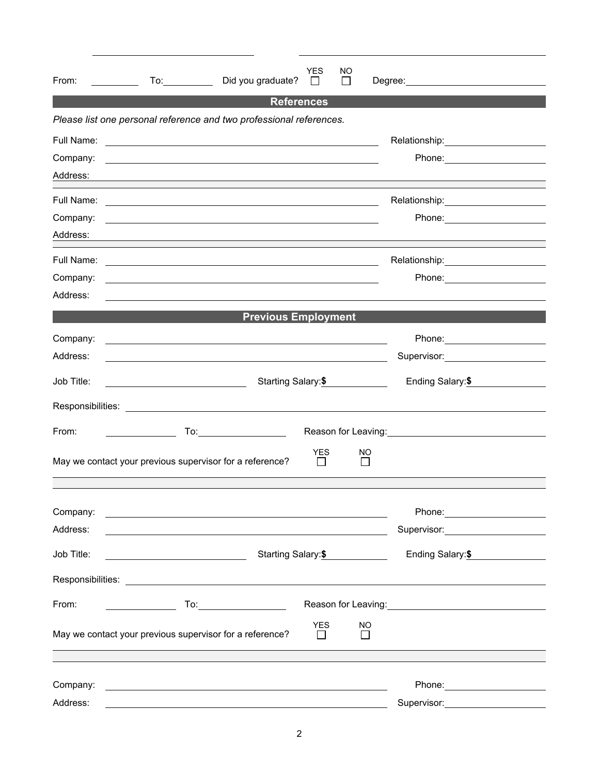| From:                  | $\overline{a}$ To:                           | Did you graduate?                                                                                                                                                                                | YES                        | NO<br>$\mathsf{I}$  |                                                                                                                                                                                                                                |  |  |
|------------------------|----------------------------------------------|--------------------------------------------------------------------------------------------------------------------------------------------------------------------------------------------------|----------------------------|---------------------|--------------------------------------------------------------------------------------------------------------------------------------------------------------------------------------------------------------------------------|--|--|
|                        |                                              |                                                                                                                                                                                                  | <b>References</b>          |                     |                                                                                                                                                                                                                                |  |  |
|                        |                                              | Please list one personal reference and two professional references.                                                                                                                              |                            |                     |                                                                                                                                                                                                                                |  |  |
| Full Name:<br>Company: |                                              | <u> 1989 - Johann Barn, fransk politik amerikansk politik (d. 1989)</u><br><u> 1989 - Johann Harry Harry Harry Harry Harry Harry Harry Harry Harry Harry Harry Harry Harry Harry Harry Harry</u> |                            |                     |                                                                                                                                                                                                                                |  |  |
| Address:               |                                              | and the control of the control of the control of the control of the control of the control of the control of the                                                                                 |                            |                     |                                                                                                                                                                                                                                |  |  |
|                        | Relationship: 2000                           |                                                                                                                                                                                                  |                            |                     |                                                                                                                                                                                                                                |  |  |
| Company:<br>Address:   |                                              | <u> 1989 - Johann Stoff, deutscher Stoff, der Stoff, der Stoff, der Stoff, der Stoff, der Stoff, der Stoff, der S</u>                                                                            |                            |                     | Phone: _______________________                                                                                                                                                                                                 |  |  |
|                        |                                              |                                                                                                                                                                                                  |                            |                     | Relationship: _______________________                                                                                                                                                                                          |  |  |
| Company:<br>Address:   |                                              | <u> 1989 - Johann Stoff, deutscher Stoffen und der Stoffen und der Stoffen und der Stoffen und der Stoffen und der</u>                                                                           |                            |                     |                                                                                                                                                                                                                                |  |  |
|                        |                                              | <b>Previous Employment</b>                                                                                                                                                                       |                            |                     |                                                                                                                                                                                                                                |  |  |
| Company:               |                                              | <u> 1989 - Andrea Stadt, fransk politiker (d. 1989)</u>                                                                                                                                          |                            |                     |                                                                                                                                                                                                                                |  |  |
| Address:               |                                              | <u> 1980 - Johann Stoff, amerikansk politiker (* 1900)</u>                                                                                                                                       |                            |                     | Supervisor: Victor Control Control Control Control Control Control Control Control Control Control Control Control Control Control Control Control Control Control Control Control Control Control Control Control Control Con |  |  |
| Job Title:             | <u> 1980 - Johann Barbara, martxa eta p</u>  |                                                                                                                                                                                                  | Starting Salary:\$         |                     | Ending Salary: \$                                                                                                                                                                                                              |  |  |
|                        |                                              |                                                                                                                                                                                                  |                            |                     |                                                                                                                                                                                                                                |  |  |
| From:                  |                                              |                                                                                                                                                                                                  |                            |                     | Reason for Leaving:<br><u> </u>                                                                                                                                                                                                |  |  |
|                        |                                              | May we contact your previous supervisor for a reference?                                                                                                                                         | <b>YES</b>                 | NO.<br>$\mathsf{L}$ |                                                                                                                                                                                                                                |  |  |
| Company:               |                                              | <u> 1989 - Johann Stein, marwolaethau a bhann an t-Amhair ann an t-Amhair an t-Amhair an t-Amhair an t-Amhair an</u>                                                                             |                            |                     | Phone: _________________________                                                                                                                                                                                               |  |  |
| Address:               |                                              |                                                                                                                                                                                                  |                            |                     | Supervisor: ______________________                                                                                                                                                                                             |  |  |
| Job Title:             | <u> 1989 - Johann Barn, fransk politik (</u> | Starting Salary: \$                                                                                                                                                                              | Ending Salary: \$          |                     |                                                                                                                                                                                                                                |  |  |
|                        |                                              |                                                                                                                                                                                                  |                            |                     |                                                                                                                                                                                                                                |  |  |
| From:                  |                                              | To:__________________________                                                                                                                                                                    |                            |                     | Reason for Leaving: 1990 and 200 million and 200 million and 200 million and 200 million and 200 million and 20                                                                                                                |  |  |
|                        |                                              | May we contact your previous supervisor for a reference?                                                                                                                                         | <b>YES</b><br>$\mathsf{L}$ | NO<br>$\perp$       |                                                                                                                                                                                                                                |  |  |
|                        |                                              |                                                                                                                                                                                                  |                            |                     |                                                                                                                                                                                                                                |  |  |
| Company:<br>Address:   |                                              | <u> Alexandria de la contrada de la contrada de la contrada de la contrada de la contrada de la contrada de la c</u>                                                                             |                            |                     | Phone: 2008 2010 2010 2011 2022 2023 2024 2022 2022 2023 2024 2022 2023 2024 2022 2023 2024 2025 2026 2027 20<br>Supervisor:_______________________                                                                            |  |  |